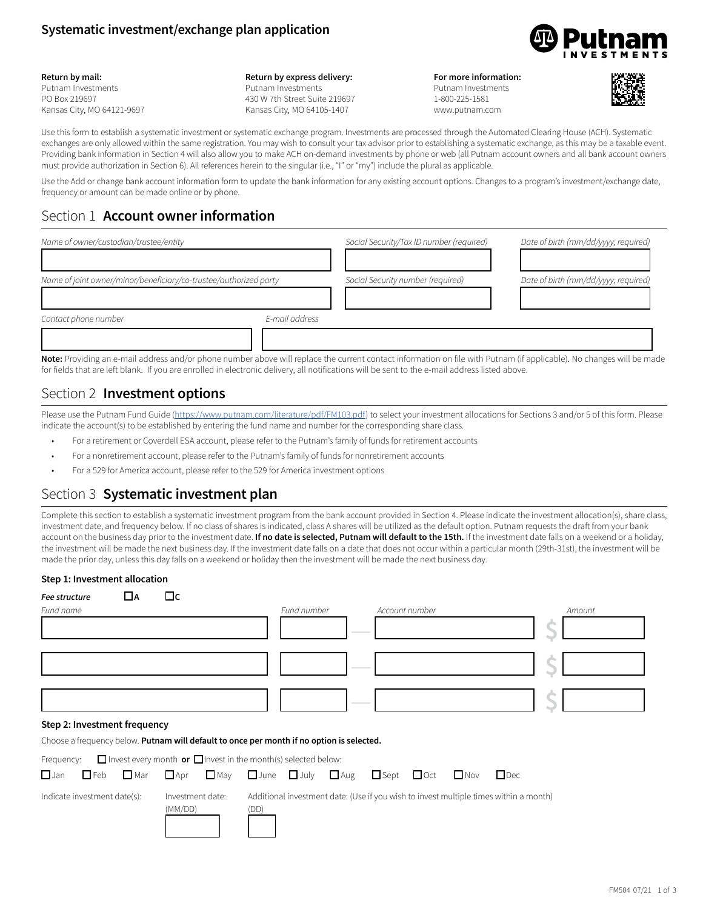### **Systematic investment/exchange plan application**



#### **Return by mail:**

Putnam Investments PO Box 219697 Kansas City, MO 64121-9697 **Return by express delivery:** Putnam Investments 430 W 7th Street Suite 219697 Kansas City, MO 64105-1407

#### **For more information:** Putnam Investments 1-800-225-1581 www.putnam.com



Use this form to establish a systematic investment or systematic exchange program. Investments are processed through the Automated Clearing House (ACH). Systematic exchanges are only allowed within the same registration. You may wish to consult your tax advisor prior to establishing a systematic exchange, as this may be a taxable event. Providing bank information in Section 4 will also allow you to make ACH on-demand investments by phone or web (all Putnam account owners and all bank account owners must provide authorization in Section 6). All references herein to the singular (i.e., "I" or "my") include the plural as applicable.

Use the Add or change bank account information form to update the bank information for any existing account options. Changes to a program's investment/exchange date, frequency or amount can be made online or by phone.

# Section 1 **Account owner information**

| Name of owner/custodian/trustee/entity                            |                | Social Security/Tax ID number (required)                                                                                                                                                                                       | Date of birth (mm/dd/yyyy; required) |
|-------------------------------------------------------------------|----------------|--------------------------------------------------------------------------------------------------------------------------------------------------------------------------------------------------------------------------------|--------------------------------------|
| Name of joint owner/minor/beneficiary/co-trustee/authorized party |                | Social Security number (required)                                                                                                                                                                                              | Date of birth (mm/dd/yyyy; required) |
| Contact phone number                                              | E-mail address |                                                                                                                                                                                                                                |                                      |
|                                                                   |                | Mater Description and and delegated the above above above solone than a security and information and file with Determined on the above above and the state of the state of the state of the state of the state of the state of |                                      |

**Note:** Providing an e-mail address and/or phone number above will replace the current contact information on file with Putnam (if applicable). No changes will be made for fields that are left blank. If you are enrolled in electronic delivery, all notifications will be sent to the e-mail address listed above.

### Section 2 **Investment options**

Please use the Putnam Fund Guide [\(https://www.putnam.com/literature/pdf/FM103.pdf\)](https://www.putnam.com/literature/pdf/FM103.pdf) to select your investment allocations for Sections 3 and/or 5 of this form. Please indicate the account(s) to be established by entering the fund name and number for the corresponding share class.

- For a retirement or Coverdell ESA account, please refer to the Putnam's family of funds for retirement accounts
- For a nonretirement account, please refer to the Putnam's family of funds for nonretirement accounts
- For a 529 for America account, please refer to the 529 for America investment options

# Section 3 **Systematic investment plan**

Complete this section to establish a systematic investment program from the bank account provided in Section 4. Please indicate the investment allocation(s), share class, investment date, and frequency below. If no class of shares is indicated, class A shares will be utilized as the default option. Putnam requests the draft from your bank account on the business day prior to the investment date. **If no date is selected, Putnam will default to the 15th.** If the investment date falls on a weekend or a holiday, the investment will be made the next business day. If the investment date falls on a date that does not occur within a particular month (29th-31st), the investment will be made the prior day, unless this day falls on a weekend or holiday then the investment will be made the next business day.

### **Step 1: Investment allocation**

| Fee structure<br>ШA                                                                       | Пc                                                                         |                                                                                               |                        |                          |        |
|-------------------------------------------------------------------------------------------|----------------------------------------------------------------------------|-----------------------------------------------------------------------------------------------|------------------------|--------------------------|--------|
| Fund name                                                                                 |                                                                            | Fund number                                                                                   | Account number         |                          | Amount |
|                                                                                           |                                                                            |                                                                                               |                        |                          |        |
|                                                                                           |                                                                            |                                                                                               |                        |                          |        |
|                                                                                           |                                                                            |                                                                                               |                        |                          |        |
| Step 2: Investment frequency                                                              |                                                                            |                                                                                               |                        |                          |        |
| Choose a frequency below. Putnam will default to once per month if no option is selected. |                                                                            |                                                                                               |                        |                          |        |
| Frequency:                                                                                | $\Box$ Invest every month or $\Box$ Invest in the month(s) selected below: |                                                                                               |                        |                          |        |
| $\Box$ Jan<br>$\Box$ Feb<br>$\square$ Mar                                                 | $\Box$ May<br>$\Box$ Apr                                                   | $\Box$ Aug<br>$\Box$ June $\Box$ July                                                         | $\Box$ Sept $\Box$ Oct | $\Box$ Nov<br>$\Box$ Dec |        |
| Indicate investment date(s):                                                              | Investment date:<br>(MM/DD)                                                | Additional investment date: (Use if you wish to invest multiple times within a month)<br>(DD) |                        |                          |        |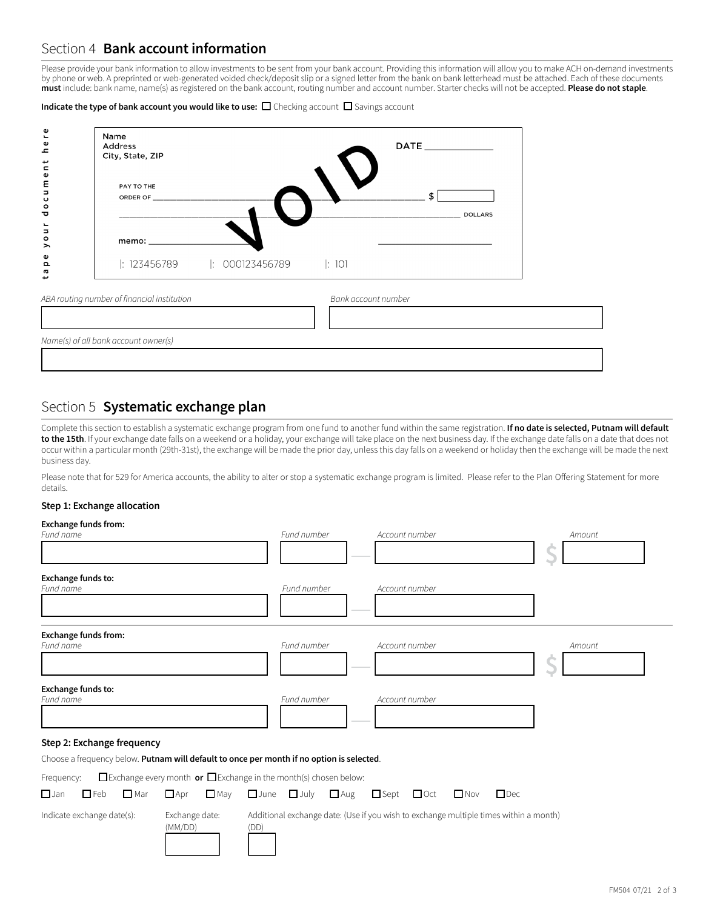# Section 4 **Bank account information**

Please provide your bank information to allow investments to be sent from your bank account. Providing this information will allow you to make ACH on-demand investments by phone or web. A preprinted or web-generated voided check/deposit slip or a signed letter from the bank on bank letterhead must be attached. Each of these documents **must** include: bank name, name(s) as registered on the bank account, routing number and account number. Starter checks will not be accepted. **Please do not staple**.

Indicate the type of bank account you would like to use:  $\Box$  Checking account  $\Box$  Savings account

| Φ<br>ه<br>ع<br>$\frac{t}{n}$  | Name<br><b>Address</b><br>City, State, ZIP  | DATE ______________  |  |  |  |
|-------------------------------|---------------------------------------------|----------------------|--|--|--|
| ume<br>U<br>$\circ$<br>ರ      | PAY TO THE<br>ORDER OF ____________         | \$<br><b>DOLLARS</b> |  |  |  |
| Ĕ<br>$\circ$<br>$\rightarrow$ | memo: $\_\_$                                |                      |  |  |  |
| Φ<br>$\Omega$<br>Ø<br>÷       | : $123456789$  : $000123456789$  : $101$    |                      |  |  |  |
|                               | ABA routing number of financial institution | Bank account number  |  |  |  |
|                               | Name(s) of all bank account owner(s)        |                      |  |  |  |
|                               |                                             |                      |  |  |  |

# Section 5 **Systematic exchange plan**

Complete this section to establish a systematic exchange program from one fund to another fund within the same registration. **If no date is selected, Putnam will default**  to the 15th. If your exchange date falls on a weekend or a holiday, your exchange will take place on the next business day. If the exchange date falls on a date that does not occur within a particular month (29th-31st), the exchange will be made the prior day, unless this day falls on a weekend or holiday then the exchange will be made the next business day.

Please note that for 529 for America accounts, the ability to alter or stop a systematic exchange program is limited. Please refer to the Plan Offering Statement for more details.

### **Step 1: Exchange allocation**

| <b>Exchange funds from:</b><br>Fund name                                                                                                                                           |                                                                                                          | Fund number                |            | Account number            |                                                                                       | Amount |
|------------------------------------------------------------------------------------------------------------------------------------------------------------------------------------|----------------------------------------------------------------------------------------------------------|----------------------------|------------|---------------------------|---------------------------------------------------------------------------------------|--------|
| Exchange funds to:<br>Fund name                                                                                                                                                    |                                                                                                          | Fund number                |            | Account number            |                                                                                       |        |
| <b>Exchange funds from:</b><br>Fund name                                                                                                                                           |                                                                                                          | Fund number                |            | Account number            |                                                                                       | Amount |
| Exchange funds to:<br>Fund name                                                                                                                                                    |                                                                                                          | Fund number                |            | Account number            |                                                                                       |        |
| Step 2: Exchange frequency<br>Choose a frequency below. Putnam will default to once per month if no option is selected.<br>Frequency:<br>$\Box$ Feb<br>$\Box$ Mar<br>$\square$ Jan | $\Box$ Exchange every month or $\Box$ Exchange in the month(s) chosen below:<br>$\Box$ Apr<br>$\Box$ May | $\Box$ July<br>$\Box$ June | $\Box$ Aug | $\Box$ Sept<br>$\Box$ Oct | $\Box$ Nov<br>$\Box$ Dec                                                              |        |
| Indicate exchange date(s):                                                                                                                                                         | Exchange date:<br>(MM/DD)                                                                                | (DD)                       |            |                           | Additional exchange date: (Use if you wish to exchange multiple times within a month) |        |